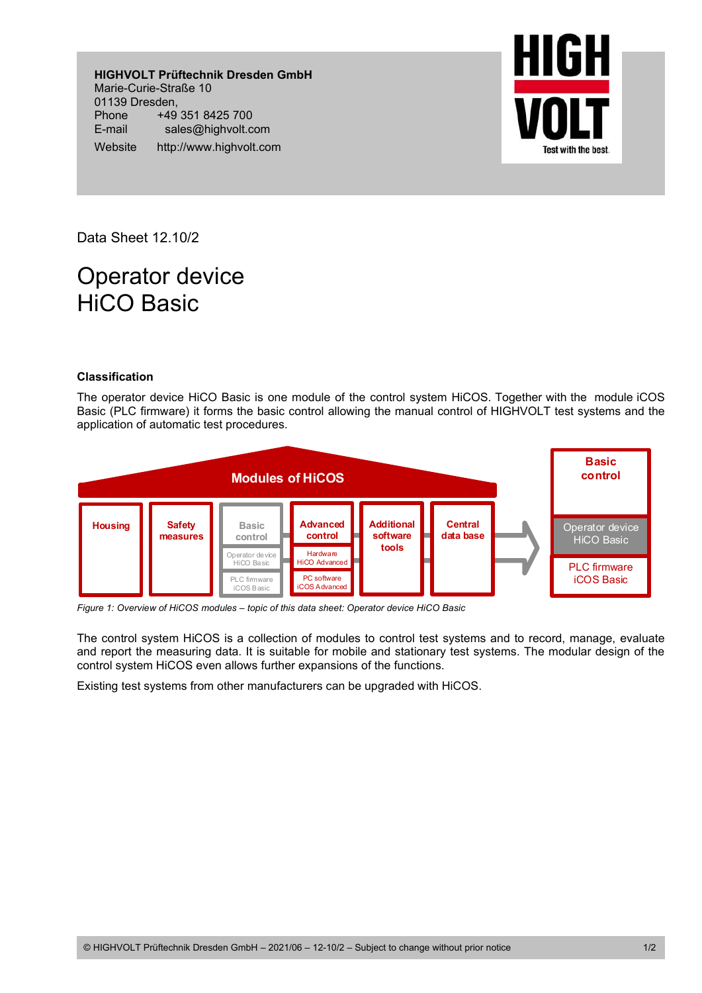**HIGHVOLT Prüftechnik Dresden GmbH**  Marie-Curie-Straße 10 01139 Dresden, Phone +49 351 8425 700 E-mail sales@highvolt.com Website http://www.highvolt.com



Data Sheet 12.10/2

# Operator device HiCO Basic

## **Classification**

The operator device HiCO Basic is one module of the control system HiCOS. Together with the module iCOS Basic (PLC firmware) it forms the basic control allowing the manual control of HIGHVOLT test systems and the application of automatic test procedures.



*Figure 1: Overview of HiCOS modules – topic of this data sheet: Operator device HiCO Basic* 

The control system HiCOS is a collection of modules to control test systems and to record, manage, evaluate and report the measuring data. It is suitable for mobile and stationary test systems. The modular design of the control system HiCOS even allows further expansions of the functions.

Existing test systems from other manufacturers can be upgraded with HiCOS.